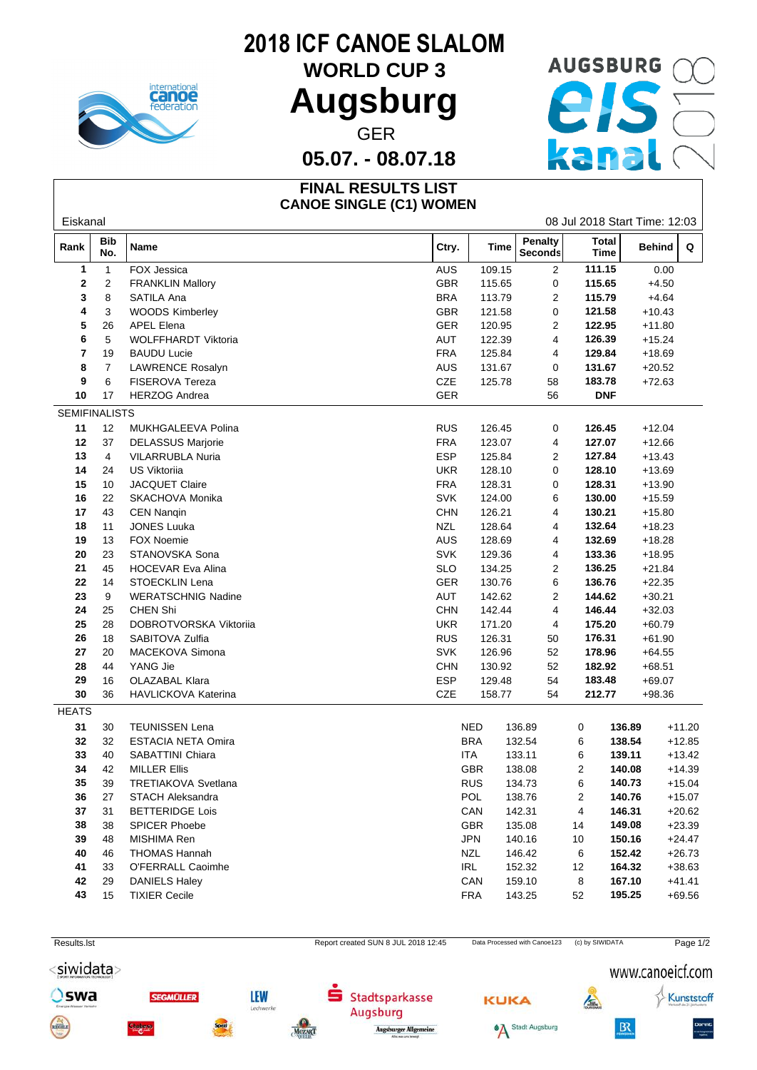

## **2018 ICF CANOE SLALOM**

## WORLD CUP 3 AUGSBURG CO **Augsburg** GER<br>- 08.07.18 Kana

**05.07. - 08.07.18**

#### **FINAL RESULTS LIST CANOE SINGLE (C1) WOMEN**

| Total<br><b>Bib</b><br>Penalty<br>Rank<br><b>Time</b><br>Name<br>Ctry.<br>Behind<br>Q<br>Seconds<br>No.<br><b>Time</b><br>FOX Jessica<br>111.15<br>0.00<br>1<br>$\overline{1}$<br>AUS<br>109.15<br>$\overline{2}$<br>2<br>$\overline{2}$<br>GBR<br>115.65<br><b>FRANKLIN Mallory</b><br>115.65<br>0<br>$+4.50$<br>8<br>SATILA Ana<br><b>BRA</b><br>113.79<br>3<br>2<br>115.79<br>$+4.64$<br><b>WOODS Kimberley</b><br>GBR<br>121.58<br>121.58<br>3<br>0<br>$+10.43$<br>4<br>GER<br>26<br><b>APEL Elena</b><br>120.95<br>2<br>122.95<br>$+11.80$<br>5<br>5<br>122.39<br>WOLFFHARDT Viktoria<br><b>AUT</b><br>4<br>126.39<br>$+15.24$<br>6<br>7<br><b>FRA</b><br>125.84<br>129.84<br>19<br><b>BAUDU Lucie</b><br>4<br>$+18.69$<br>$\overline{7}$<br><b>LAWRENCE Rosalyn</b><br>AUS<br>131.67<br>0<br>$+20.52$<br>8<br>131.67<br>6<br>CZE<br>9<br><b>FISEROVA Tereza</b><br>125.78<br>58<br>183.78<br>$+72.63$<br>10<br><b>HERZOG Andrea</b><br>GER<br><b>DNF</b><br>17<br>56<br><b>SEMIFINALISTS</b><br>MUKHGALEEVA Polina<br>126.45<br>11<br>12<br><b>RUS</b><br>126.45<br>$+12.04$<br>0<br><b>FRA</b><br>123.07<br>12<br>37<br><b>DELASSUS Marjorie</b><br>4<br>127.07<br>$+12.66$<br>13<br><b>ESP</b><br>125.84<br>127.84<br>$+13.43$<br><b>VILARRUBLA Nuria</b><br>2<br>4<br>14<br><b>US Viktoriia</b><br>128.10<br>24<br><b>UKR</b><br>128.10<br>$+13.69$<br>0<br>JACQUET Claire<br>128.31<br>15<br>10<br><b>FRA</b><br>128.31<br>$+13.90$<br>0<br>16<br>22<br>SKACHOVA Monika<br><b>SVK</b><br>124.00<br>130.00<br>$+15.59$<br>6<br><b>CHN</b><br>17<br>43<br><b>CEN Nangin</b><br>126.21<br>130.21<br>$+15.80$<br>4<br><b>JONES Luuka</b><br><b>NZL</b><br>18<br>11<br>128.64<br>132.64<br>$+18.23$<br>4<br>19<br><b>FOX Noemie</b><br>AUS<br>128.69<br>132.69<br>$+18.28$<br>13<br>4<br><b>SVK</b><br>20<br>23<br>STANOVSKA Sona<br>129.36<br>133.36<br>$+18.95$<br>4<br>45<br><b>SLO</b><br>134.25<br>21<br><b>HOCEVAR Eva Alina</b><br>2<br>136.25<br>$+21.84$<br>22<br>STOECKLIN Lena<br>GER<br>130.76<br>6<br>136.76<br>$+22.35$<br>14<br>AUT<br>142.62<br>2<br>23<br>9<br><b>WERATSCHNIG Nadine</b><br>144.62<br>$+30.21$<br>24<br>25<br><b>CHEN Shi</b><br><b>CHN</b><br>142.44<br>146.44<br>$+32.03$<br>4<br>25<br>28<br>DOBROTVORSKA Viktoriia<br><b>UKR</b><br>171.20<br>175.20<br>$+60.79$<br>4<br>126.31<br>26<br>18<br>SABITOVA Zulfia<br><b>RUS</b><br>176.31<br>$+61.90$<br>50<br>27<br>20<br>MACEKOVA Simona<br><b>SVK</b><br>126.96<br>178.96<br>$+64.55$<br>52<br>YANG Jie<br>28<br>44<br><b>CHN</b><br>130.92<br>182.92<br>$+68.51$<br>52<br><b>ESP</b><br><b>OLAZABAL Klara</b><br>29<br>16<br>129.48<br>54<br>183.48<br>$+69.07$<br>$30\,$<br>36<br>CZE<br>158.77<br>54<br>212.77<br>HAVLICKOVA Katerina<br>$+98.36$<br><b>HEATS</b><br>31<br><b>TEUNISSEN Lena</b><br>136.89<br>30<br>NED<br>136.89<br>0<br>$+11.20$<br><b>ESTACIA NETA Omira</b><br><b>BRA</b><br>32<br>32<br>132.54<br>6<br>138.54<br>$+12.85$<br>33<br>40<br>SABATTINI Chiara<br>ITA<br>133.11<br>$+13.42$<br>6<br>139.11<br>34<br><b>MILLER Ellis</b><br><b>GBR</b><br>138.08<br>140.08<br>42<br>2<br>$+14.39$<br><b>RUS</b><br>35<br>39<br>TRETIAKOVA Svetlana<br>6<br>140.73<br>134.73<br>$+15.04$<br>36<br>140.76<br>27<br><b>STACH Aleksandra</b><br>POL<br>138.76<br>2<br>$+15.07$<br>37<br><b>BETTERIDGE Lois</b><br>CAN<br>142.31<br>146.31<br>$+20.62$<br>31<br>4<br>GBR<br>38<br>SPICER Phoebe<br>135.08<br>149.08<br>$+23.39$<br>38<br>14<br>39<br>MISHIMA Ren<br>JPN<br>48<br>140.16<br>150.16<br>$+24.47$<br>10<br>40<br><b>THOMAS Hannah</b><br><b>NZL</b><br>146.42<br>152.42<br>$+26.73$<br>46<br>6<br>O'FERRALL Caoimhe<br>IRL<br>152.32<br>41<br>33<br>164.32<br>$+38.63$<br>12<br>42<br>CAN<br>167.10<br>29<br><b>DANIELS Haley</b><br>159.10<br>8<br>$+41.41$<br>43<br><b>TIXIER Cecile</b><br><b>FRA</b><br>15<br>143.25<br>195.25<br>$+69.56$<br>52 | Eiskanal |  |  |  |  | 08 Jul 2018 Start Time: 12:03 |  |  |  |
|-------------------------------------------------------------------------------------------------------------------------------------------------------------------------------------------------------------------------------------------------------------------------------------------------------------------------------------------------------------------------------------------------------------------------------------------------------------------------------------------------------------------------------------------------------------------------------------------------------------------------------------------------------------------------------------------------------------------------------------------------------------------------------------------------------------------------------------------------------------------------------------------------------------------------------------------------------------------------------------------------------------------------------------------------------------------------------------------------------------------------------------------------------------------------------------------------------------------------------------------------------------------------------------------------------------------------------------------------------------------------------------------------------------------------------------------------------------------------------------------------------------------------------------------------------------------------------------------------------------------------------------------------------------------------------------------------------------------------------------------------------------------------------------------------------------------------------------------------------------------------------------------------------------------------------------------------------------------------------------------------------------------------------------------------------------------------------------------------------------------------------------------------------------------------------------------------------------------------------------------------------------------------------------------------------------------------------------------------------------------------------------------------------------------------------------------------------------------------------------------------------------------------------------------------------------------------------------------------------------------------------------------------------------------------------------------------------------------------------------------------------------------------------------------------------------------------------------------------------------------------------------------------------------------------------------------------------------------------------------------------------------------------------------------------------------------------------------------------------------------------------------------------------------------------------------------------------------------------------------------------------------------------------------------------------------------------------------------------------------------------------------------------------------------------------------------------------------------------------------------------------------------------------------------------------------------------------------------------------------------------------------------------------------------------------------------------------------------------------------------------------------------------------------------------------------------------------------------------------------------------|----------|--|--|--|--|-------------------------------|--|--|--|
|                                                                                                                                                                                                                                                                                                                                                                                                                                                                                                                                                                                                                                                                                                                                                                                                                                                                                                                                                                                                                                                                                                                                                                                                                                                                                                                                                                                                                                                                                                                                                                                                                                                                                                                                                                                                                                                                                                                                                                                                                                                                                                                                                                                                                                                                                                                                                                                                                                                                                                                                                                                                                                                                                                                                                                                                                                                                                                                                                                                                                                                                                                                                                                                                                                                                                                                                                                                                                                                                                                                                                                                                                                                                                                                                                                                                                                                                         |          |  |  |  |  |                               |  |  |  |
|                                                                                                                                                                                                                                                                                                                                                                                                                                                                                                                                                                                                                                                                                                                                                                                                                                                                                                                                                                                                                                                                                                                                                                                                                                                                                                                                                                                                                                                                                                                                                                                                                                                                                                                                                                                                                                                                                                                                                                                                                                                                                                                                                                                                                                                                                                                                                                                                                                                                                                                                                                                                                                                                                                                                                                                                                                                                                                                                                                                                                                                                                                                                                                                                                                                                                                                                                                                                                                                                                                                                                                                                                                                                                                                                                                                                                                                                         |          |  |  |  |  |                               |  |  |  |
|                                                                                                                                                                                                                                                                                                                                                                                                                                                                                                                                                                                                                                                                                                                                                                                                                                                                                                                                                                                                                                                                                                                                                                                                                                                                                                                                                                                                                                                                                                                                                                                                                                                                                                                                                                                                                                                                                                                                                                                                                                                                                                                                                                                                                                                                                                                                                                                                                                                                                                                                                                                                                                                                                                                                                                                                                                                                                                                                                                                                                                                                                                                                                                                                                                                                                                                                                                                                                                                                                                                                                                                                                                                                                                                                                                                                                                                                         |          |  |  |  |  |                               |  |  |  |
|                                                                                                                                                                                                                                                                                                                                                                                                                                                                                                                                                                                                                                                                                                                                                                                                                                                                                                                                                                                                                                                                                                                                                                                                                                                                                                                                                                                                                                                                                                                                                                                                                                                                                                                                                                                                                                                                                                                                                                                                                                                                                                                                                                                                                                                                                                                                                                                                                                                                                                                                                                                                                                                                                                                                                                                                                                                                                                                                                                                                                                                                                                                                                                                                                                                                                                                                                                                                                                                                                                                                                                                                                                                                                                                                                                                                                                                                         |          |  |  |  |  |                               |  |  |  |
|                                                                                                                                                                                                                                                                                                                                                                                                                                                                                                                                                                                                                                                                                                                                                                                                                                                                                                                                                                                                                                                                                                                                                                                                                                                                                                                                                                                                                                                                                                                                                                                                                                                                                                                                                                                                                                                                                                                                                                                                                                                                                                                                                                                                                                                                                                                                                                                                                                                                                                                                                                                                                                                                                                                                                                                                                                                                                                                                                                                                                                                                                                                                                                                                                                                                                                                                                                                                                                                                                                                                                                                                                                                                                                                                                                                                                                                                         |          |  |  |  |  |                               |  |  |  |
|                                                                                                                                                                                                                                                                                                                                                                                                                                                                                                                                                                                                                                                                                                                                                                                                                                                                                                                                                                                                                                                                                                                                                                                                                                                                                                                                                                                                                                                                                                                                                                                                                                                                                                                                                                                                                                                                                                                                                                                                                                                                                                                                                                                                                                                                                                                                                                                                                                                                                                                                                                                                                                                                                                                                                                                                                                                                                                                                                                                                                                                                                                                                                                                                                                                                                                                                                                                                                                                                                                                                                                                                                                                                                                                                                                                                                                                                         |          |  |  |  |  |                               |  |  |  |
|                                                                                                                                                                                                                                                                                                                                                                                                                                                                                                                                                                                                                                                                                                                                                                                                                                                                                                                                                                                                                                                                                                                                                                                                                                                                                                                                                                                                                                                                                                                                                                                                                                                                                                                                                                                                                                                                                                                                                                                                                                                                                                                                                                                                                                                                                                                                                                                                                                                                                                                                                                                                                                                                                                                                                                                                                                                                                                                                                                                                                                                                                                                                                                                                                                                                                                                                                                                                                                                                                                                                                                                                                                                                                                                                                                                                                                                                         |          |  |  |  |  |                               |  |  |  |
|                                                                                                                                                                                                                                                                                                                                                                                                                                                                                                                                                                                                                                                                                                                                                                                                                                                                                                                                                                                                                                                                                                                                                                                                                                                                                                                                                                                                                                                                                                                                                                                                                                                                                                                                                                                                                                                                                                                                                                                                                                                                                                                                                                                                                                                                                                                                                                                                                                                                                                                                                                                                                                                                                                                                                                                                                                                                                                                                                                                                                                                                                                                                                                                                                                                                                                                                                                                                                                                                                                                                                                                                                                                                                                                                                                                                                                                                         |          |  |  |  |  |                               |  |  |  |
|                                                                                                                                                                                                                                                                                                                                                                                                                                                                                                                                                                                                                                                                                                                                                                                                                                                                                                                                                                                                                                                                                                                                                                                                                                                                                                                                                                                                                                                                                                                                                                                                                                                                                                                                                                                                                                                                                                                                                                                                                                                                                                                                                                                                                                                                                                                                                                                                                                                                                                                                                                                                                                                                                                                                                                                                                                                                                                                                                                                                                                                                                                                                                                                                                                                                                                                                                                                                                                                                                                                                                                                                                                                                                                                                                                                                                                                                         |          |  |  |  |  |                               |  |  |  |
|                                                                                                                                                                                                                                                                                                                                                                                                                                                                                                                                                                                                                                                                                                                                                                                                                                                                                                                                                                                                                                                                                                                                                                                                                                                                                                                                                                                                                                                                                                                                                                                                                                                                                                                                                                                                                                                                                                                                                                                                                                                                                                                                                                                                                                                                                                                                                                                                                                                                                                                                                                                                                                                                                                                                                                                                                                                                                                                                                                                                                                                                                                                                                                                                                                                                                                                                                                                                                                                                                                                                                                                                                                                                                                                                                                                                                                                                         |          |  |  |  |  |                               |  |  |  |
|                                                                                                                                                                                                                                                                                                                                                                                                                                                                                                                                                                                                                                                                                                                                                                                                                                                                                                                                                                                                                                                                                                                                                                                                                                                                                                                                                                                                                                                                                                                                                                                                                                                                                                                                                                                                                                                                                                                                                                                                                                                                                                                                                                                                                                                                                                                                                                                                                                                                                                                                                                                                                                                                                                                                                                                                                                                                                                                                                                                                                                                                                                                                                                                                                                                                                                                                                                                                                                                                                                                                                                                                                                                                                                                                                                                                                                                                         |          |  |  |  |  |                               |  |  |  |
|                                                                                                                                                                                                                                                                                                                                                                                                                                                                                                                                                                                                                                                                                                                                                                                                                                                                                                                                                                                                                                                                                                                                                                                                                                                                                                                                                                                                                                                                                                                                                                                                                                                                                                                                                                                                                                                                                                                                                                                                                                                                                                                                                                                                                                                                                                                                                                                                                                                                                                                                                                                                                                                                                                                                                                                                                                                                                                                                                                                                                                                                                                                                                                                                                                                                                                                                                                                                                                                                                                                                                                                                                                                                                                                                                                                                                                                                         |          |  |  |  |  |                               |  |  |  |
|                                                                                                                                                                                                                                                                                                                                                                                                                                                                                                                                                                                                                                                                                                                                                                                                                                                                                                                                                                                                                                                                                                                                                                                                                                                                                                                                                                                                                                                                                                                                                                                                                                                                                                                                                                                                                                                                                                                                                                                                                                                                                                                                                                                                                                                                                                                                                                                                                                                                                                                                                                                                                                                                                                                                                                                                                                                                                                                                                                                                                                                                                                                                                                                                                                                                                                                                                                                                                                                                                                                                                                                                                                                                                                                                                                                                                                                                         |          |  |  |  |  |                               |  |  |  |
|                                                                                                                                                                                                                                                                                                                                                                                                                                                                                                                                                                                                                                                                                                                                                                                                                                                                                                                                                                                                                                                                                                                                                                                                                                                                                                                                                                                                                                                                                                                                                                                                                                                                                                                                                                                                                                                                                                                                                                                                                                                                                                                                                                                                                                                                                                                                                                                                                                                                                                                                                                                                                                                                                                                                                                                                                                                                                                                                                                                                                                                                                                                                                                                                                                                                                                                                                                                                                                                                                                                                                                                                                                                                                                                                                                                                                                                                         |          |  |  |  |  |                               |  |  |  |
|                                                                                                                                                                                                                                                                                                                                                                                                                                                                                                                                                                                                                                                                                                                                                                                                                                                                                                                                                                                                                                                                                                                                                                                                                                                                                                                                                                                                                                                                                                                                                                                                                                                                                                                                                                                                                                                                                                                                                                                                                                                                                                                                                                                                                                                                                                                                                                                                                                                                                                                                                                                                                                                                                                                                                                                                                                                                                                                                                                                                                                                                                                                                                                                                                                                                                                                                                                                                                                                                                                                                                                                                                                                                                                                                                                                                                                                                         |          |  |  |  |  |                               |  |  |  |
|                                                                                                                                                                                                                                                                                                                                                                                                                                                                                                                                                                                                                                                                                                                                                                                                                                                                                                                                                                                                                                                                                                                                                                                                                                                                                                                                                                                                                                                                                                                                                                                                                                                                                                                                                                                                                                                                                                                                                                                                                                                                                                                                                                                                                                                                                                                                                                                                                                                                                                                                                                                                                                                                                                                                                                                                                                                                                                                                                                                                                                                                                                                                                                                                                                                                                                                                                                                                                                                                                                                                                                                                                                                                                                                                                                                                                                                                         |          |  |  |  |  |                               |  |  |  |
|                                                                                                                                                                                                                                                                                                                                                                                                                                                                                                                                                                                                                                                                                                                                                                                                                                                                                                                                                                                                                                                                                                                                                                                                                                                                                                                                                                                                                                                                                                                                                                                                                                                                                                                                                                                                                                                                                                                                                                                                                                                                                                                                                                                                                                                                                                                                                                                                                                                                                                                                                                                                                                                                                                                                                                                                                                                                                                                                                                                                                                                                                                                                                                                                                                                                                                                                                                                                                                                                                                                                                                                                                                                                                                                                                                                                                                                                         |          |  |  |  |  |                               |  |  |  |
|                                                                                                                                                                                                                                                                                                                                                                                                                                                                                                                                                                                                                                                                                                                                                                                                                                                                                                                                                                                                                                                                                                                                                                                                                                                                                                                                                                                                                                                                                                                                                                                                                                                                                                                                                                                                                                                                                                                                                                                                                                                                                                                                                                                                                                                                                                                                                                                                                                                                                                                                                                                                                                                                                                                                                                                                                                                                                                                                                                                                                                                                                                                                                                                                                                                                                                                                                                                                                                                                                                                                                                                                                                                                                                                                                                                                                                                                         |          |  |  |  |  |                               |  |  |  |
|                                                                                                                                                                                                                                                                                                                                                                                                                                                                                                                                                                                                                                                                                                                                                                                                                                                                                                                                                                                                                                                                                                                                                                                                                                                                                                                                                                                                                                                                                                                                                                                                                                                                                                                                                                                                                                                                                                                                                                                                                                                                                                                                                                                                                                                                                                                                                                                                                                                                                                                                                                                                                                                                                                                                                                                                                                                                                                                                                                                                                                                                                                                                                                                                                                                                                                                                                                                                                                                                                                                                                                                                                                                                                                                                                                                                                                                                         |          |  |  |  |  |                               |  |  |  |
|                                                                                                                                                                                                                                                                                                                                                                                                                                                                                                                                                                                                                                                                                                                                                                                                                                                                                                                                                                                                                                                                                                                                                                                                                                                                                                                                                                                                                                                                                                                                                                                                                                                                                                                                                                                                                                                                                                                                                                                                                                                                                                                                                                                                                                                                                                                                                                                                                                                                                                                                                                                                                                                                                                                                                                                                                                                                                                                                                                                                                                                                                                                                                                                                                                                                                                                                                                                                                                                                                                                                                                                                                                                                                                                                                                                                                                                                         |          |  |  |  |  |                               |  |  |  |
|                                                                                                                                                                                                                                                                                                                                                                                                                                                                                                                                                                                                                                                                                                                                                                                                                                                                                                                                                                                                                                                                                                                                                                                                                                                                                                                                                                                                                                                                                                                                                                                                                                                                                                                                                                                                                                                                                                                                                                                                                                                                                                                                                                                                                                                                                                                                                                                                                                                                                                                                                                                                                                                                                                                                                                                                                                                                                                                                                                                                                                                                                                                                                                                                                                                                                                                                                                                                                                                                                                                                                                                                                                                                                                                                                                                                                                                                         |          |  |  |  |  |                               |  |  |  |
|                                                                                                                                                                                                                                                                                                                                                                                                                                                                                                                                                                                                                                                                                                                                                                                                                                                                                                                                                                                                                                                                                                                                                                                                                                                                                                                                                                                                                                                                                                                                                                                                                                                                                                                                                                                                                                                                                                                                                                                                                                                                                                                                                                                                                                                                                                                                                                                                                                                                                                                                                                                                                                                                                                                                                                                                                                                                                                                                                                                                                                                                                                                                                                                                                                                                                                                                                                                                                                                                                                                                                                                                                                                                                                                                                                                                                                                                         |          |  |  |  |  |                               |  |  |  |
|                                                                                                                                                                                                                                                                                                                                                                                                                                                                                                                                                                                                                                                                                                                                                                                                                                                                                                                                                                                                                                                                                                                                                                                                                                                                                                                                                                                                                                                                                                                                                                                                                                                                                                                                                                                                                                                                                                                                                                                                                                                                                                                                                                                                                                                                                                                                                                                                                                                                                                                                                                                                                                                                                                                                                                                                                                                                                                                                                                                                                                                                                                                                                                                                                                                                                                                                                                                                                                                                                                                                                                                                                                                                                                                                                                                                                                                                         |          |  |  |  |  |                               |  |  |  |
|                                                                                                                                                                                                                                                                                                                                                                                                                                                                                                                                                                                                                                                                                                                                                                                                                                                                                                                                                                                                                                                                                                                                                                                                                                                                                                                                                                                                                                                                                                                                                                                                                                                                                                                                                                                                                                                                                                                                                                                                                                                                                                                                                                                                                                                                                                                                                                                                                                                                                                                                                                                                                                                                                                                                                                                                                                                                                                                                                                                                                                                                                                                                                                                                                                                                                                                                                                                                                                                                                                                                                                                                                                                                                                                                                                                                                                                                         |          |  |  |  |  |                               |  |  |  |
|                                                                                                                                                                                                                                                                                                                                                                                                                                                                                                                                                                                                                                                                                                                                                                                                                                                                                                                                                                                                                                                                                                                                                                                                                                                                                                                                                                                                                                                                                                                                                                                                                                                                                                                                                                                                                                                                                                                                                                                                                                                                                                                                                                                                                                                                                                                                                                                                                                                                                                                                                                                                                                                                                                                                                                                                                                                                                                                                                                                                                                                                                                                                                                                                                                                                                                                                                                                                                                                                                                                                                                                                                                                                                                                                                                                                                                                                         |          |  |  |  |  |                               |  |  |  |
|                                                                                                                                                                                                                                                                                                                                                                                                                                                                                                                                                                                                                                                                                                                                                                                                                                                                                                                                                                                                                                                                                                                                                                                                                                                                                                                                                                                                                                                                                                                                                                                                                                                                                                                                                                                                                                                                                                                                                                                                                                                                                                                                                                                                                                                                                                                                                                                                                                                                                                                                                                                                                                                                                                                                                                                                                                                                                                                                                                                                                                                                                                                                                                                                                                                                                                                                                                                                                                                                                                                                                                                                                                                                                                                                                                                                                                                                         |          |  |  |  |  |                               |  |  |  |
|                                                                                                                                                                                                                                                                                                                                                                                                                                                                                                                                                                                                                                                                                                                                                                                                                                                                                                                                                                                                                                                                                                                                                                                                                                                                                                                                                                                                                                                                                                                                                                                                                                                                                                                                                                                                                                                                                                                                                                                                                                                                                                                                                                                                                                                                                                                                                                                                                                                                                                                                                                                                                                                                                                                                                                                                                                                                                                                                                                                                                                                                                                                                                                                                                                                                                                                                                                                                                                                                                                                                                                                                                                                                                                                                                                                                                                                                         |          |  |  |  |  |                               |  |  |  |
|                                                                                                                                                                                                                                                                                                                                                                                                                                                                                                                                                                                                                                                                                                                                                                                                                                                                                                                                                                                                                                                                                                                                                                                                                                                                                                                                                                                                                                                                                                                                                                                                                                                                                                                                                                                                                                                                                                                                                                                                                                                                                                                                                                                                                                                                                                                                                                                                                                                                                                                                                                                                                                                                                                                                                                                                                                                                                                                                                                                                                                                                                                                                                                                                                                                                                                                                                                                                                                                                                                                                                                                                                                                                                                                                                                                                                                                                         |          |  |  |  |  |                               |  |  |  |
|                                                                                                                                                                                                                                                                                                                                                                                                                                                                                                                                                                                                                                                                                                                                                                                                                                                                                                                                                                                                                                                                                                                                                                                                                                                                                                                                                                                                                                                                                                                                                                                                                                                                                                                                                                                                                                                                                                                                                                                                                                                                                                                                                                                                                                                                                                                                                                                                                                                                                                                                                                                                                                                                                                                                                                                                                                                                                                                                                                                                                                                                                                                                                                                                                                                                                                                                                                                                                                                                                                                                                                                                                                                                                                                                                                                                                                                                         |          |  |  |  |  |                               |  |  |  |
|                                                                                                                                                                                                                                                                                                                                                                                                                                                                                                                                                                                                                                                                                                                                                                                                                                                                                                                                                                                                                                                                                                                                                                                                                                                                                                                                                                                                                                                                                                                                                                                                                                                                                                                                                                                                                                                                                                                                                                                                                                                                                                                                                                                                                                                                                                                                                                                                                                                                                                                                                                                                                                                                                                                                                                                                                                                                                                                                                                                                                                                                                                                                                                                                                                                                                                                                                                                                                                                                                                                                                                                                                                                                                                                                                                                                                                                                         |          |  |  |  |  |                               |  |  |  |
|                                                                                                                                                                                                                                                                                                                                                                                                                                                                                                                                                                                                                                                                                                                                                                                                                                                                                                                                                                                                                                                                                                                                                                                                                                                                                                                                                                                                                                                                                                                                                                                                                                                                                                                                                                                                                                                                                                                                                                                                                                                                                                                                                                                                                                                                                                                                                                                                                                                                                                                                                                                                                                                                                                                                                                                                                                                                                                                                                                                                                                                                                                                                                                                                                                                                                                                                                                                                                                                                                                                                                                                                                                                                                                                                                                                                                                                                         |          |  |  |  |  |                               |  |  |  |
|                                                                                                                                                                                                                                                                                                                                                                                                                                                                                                                                                                                                                                                                                                                                                                                                                                                                                                                                                                                                                                                                                                                                                                                                                                                                                                                                                                                                                                                                                                                                                                                                                                                                                                                                                                                                                                                                                                                                                                                                                                                                                                                                                                                                                                                                                                                                                                                                                                                                                                                                                                                                                                                                                                                                                                                                                                                                                                                                                                                                                                                                                                                                                                                                                                                                                                                                                                                                                                                                                                                                                                                                                                                                                                                                                                                                                                                                         |          |  |  |  |  |                               |  |  |  |
|                                                                                                                                                                                                                                                                                                                                                                                                                                                                                                                                                                                                                                                                                                                                                                                                                                                                                                                                                                                                                                                                                                                                                                                                                                                                                                                                                                                                                                                                                                                                                                                                                                                                                                                                                                                                                                                                                                                                                                                                                                                                                                                                                                                                                                                                                                                                                                                                                                                                                                                                                                                                                                                                                                                                                                                                                                                                                                                                                                                                                                                                                                                                                                                                                                                                                                                                                                                                                                                                                                                                                                                                                                                                                                                                                                                                                                                                         |          |  |  |  |  |                               |  |  |  |
|                                                                                                                                                                                                                                                                                                                                                                                                                                                                                                                                                                                                                                                                                                                                                                                                                                                                                                                                                                                                                                                                                                                                                                                                                                                                                                                                                                                                                                                                                                                                                                                                                                                                                                                                                                                                                                                                                                                                                                                                                                                                                                                                                                                                                                                                                                                                                                                                                                                                                                                                                                                                                                                                                                                                                                                                                                                                                                                                                                                                                                                                                                                                                                                                                                                                                                                                                                                                                                                                                                                                                                                                                                                                                                                                                                                                                                                                         |          |  |  |  |  |                               |  |  |  |
|                                                                                                                                                                                                                                                                                                                                                                                                                                                                                                                                                                                                                                                                                                                                                                                                                                                                                                                                                                                                                                                                                                                                                                                                                                                                                                                                                                                                                                                                                                                                                                                                                                                                                                                                                                                                                                                                                                                                                                                                                                                                                                                                                                                                                                                                                                                                                                                                                                                                                                                                                                                                                                                                                                                                                                                                                                                                                                                                                                                                                                                                                                                                                                                                                                                                                                                                                                                                                                                                                                                                                                                                                                                                                                                                                                                                                                                                         |          |  |  |  |  |                               |  |  |  |
|                                                                                                                                                                                                                                                                                                                                                                                                                                                                                                                                                                                                                                                                                                                                                                                                                                                                                                                                                                                                                                                                                                                                                                                                                                                                                                                                                                                                                                                                                                                                                                                                                                                                                                                                                                                                                                                                                                                                                                                                                                                                                                                                                                                                                                                                                                                                                                                                                                                                                                                                                                                                                                                                                                                                                                                                                                                                                                                                                                                                                                                                                                                                                                                                                                                                                                                                                                                                                                                                                                                                                                                                                                                                                                                                                                                                                                                                         |          |  |  |  |  |                               |  |  |  |
|                                                                                                                                                                                                                                                                                                                                                                                                                                                                                                                                                                                                                                                                                                                                                                                                                                                                                                                                                                                                                                                                                                                                                                                                                                                                                                                                                                                                                                                                                                                                                                                                                                                                                                                                                                                                                                                                                                                                                                                                                                                                                                                                                                                                                                                                                                                                                                                                                                                                                                                                                                                                                                                                                                                                                                                                                                                                                                                                                                                                                                                                                                                                                                                                                                                                                                                                                                                                                                                                                                                                                                                                                                                                                                                                                                                                                                                                         |          |  |  |  |  |                               |  |  |  |
|                                                                                                                                                                                                                                                                                                                                                                                                                                                                                                                                                                                                                                                                                                                                                                                                                                                                                                                                                                                                                                                                                                                                                                                                                                                                                                                                                                                                                                                                                                                                                                                                                                                                                                                                                                                                                                                                                                                                                                                                                                                                                                                                                                                                                                                                                                                                                                                                                                                                                                                                                                                                                                                                                                                                                                                                                                                                                                                                                                                                                                                                                                                                                                                                                                                                                                                                                                                                                                                                                                                                                                                                                                                                                                                                                                                                                                                                         |          |  |  |  |  |                               |  |  |  |
|                                                                                                                                                                                                                                                                                                                                                                                                                                                                                                                                                                                                                                                                                                                                                                                                                                                                                                                                                                                                                                                                                                                                                                                                                                                                                                                                                                                                                                                                                                                                                                                                                                                                                                                                                                                                                                                                                                                                                                                                                                                                                                                                                                                                                                                                                                                                                                                                                                                                                                                                                                                                                                                                                                                                                                                                                                                                                                                                                                                                                                                                                                                                                                                                                                                                                                                                                                                                                                                                                                                                                                                                                                                                                                                                                                                                                                                                         |          |  |  |  |  |                               |  |  |  |
|                                                                                                                                                                                                                                                                                                                                                                                                                                                                                                                                                                                                                                                                                                                                                                                                                                                                                                                                                                                                                                                                                                                                                                                                                                                                                                                                                                                                                                                                                                                                                                                                                                                                                                                                                                                                                                                                                                                                                                                                                                                                                                                                                                                                                                                                                                                                                                                                                                                                                                                                                                                                                                                                                                                                                                                                                                                                                                                                                                                                                                                                                                                                                                                                                                                                                                                                                                                                                                                                                                                                                                                                                                                                                                                                                                                                                                                                         |          |  |  |  |  |                               |  |  |  |
|                                                                                                                                                                                                                                                                                                                                                                                                                                                                                                                                                                                                                                                                                                                                                                                                                                                                                                                                                                                                                                                                                                                                                                                                                                                                                                                                                                                                                                                                                                                                                                                                                                                                                                                                                                                                                                                                                                                                                                                                                                                                                                                                                                                                                                                                                                                                                                                                                                                                                                                                                                                                                                                                                                                                                                                                                                                                                                                                                                                                                                                                                                                                                                                                                                                                                                                                                                                                                                                                                                                                                                                                                                                                                                                                                                                                                                                                         |          |  |  |  |  |                               |  |  |  |
|                                                                                                                                                                                                                                                                                                                                                                                                                                                                                                                                                                                                                                                                                                                                                                                                                                                                                                                                                                                                                                                                                                                                                                                                                                                                                                                                                                                                                                                                                                                                                                                                                                                                                                                                                                                                                                                                                                                                                                                                                                                                                                                                                                                                                                                                                                                                                                                                                                                                                                                                                                                                                                                                                                                                                                                                                                                                                                                                                                                                                                                                                                                                                                                                                                                                                                                                                                                                                                                                                                                                                                                                                                                                                                                                                                                                                                                                         |          |  |  |  |  |                               |  |  |  |
|                                                                                                                                                                                                                                                                                                                                                                                                                                                                                                                                                                                                                                                                                                                                                                                                                                                                                                                                                                                                                                                                                                                                                                                                                                                                                                                                                                                                                                                                                                                                                                                                                                                                                                                                                                                                                                                                                                                                                                                                                                                                                                                                                                                                                                                                                                                                                                                                                                                                                                                                                                                                                                                                                                                                                                                                                                                                                                                                                                                                                                                                                                                                                                                                                                                                                                                                                                                                                                                                                                                                                                                                                                                                                                                                                                                                                                                                         |          |  |  |  |  |                               |  |  |  |
|                                                                                                                                                                                                                                                                                                                                                                                                                                                                                                                                                                                                                                                                                                                                                                                                                                                                                                                                                                                                                                                                                                                                                                                                                                                                                                                                                                                                                                                                                                                                                                                                                                                                                                                                                                                                                                                                                                                                                                                                                                                                                                                                                                                                                                                                                                                                                                                                                                                                                                                                                                                                                                                                                                                                                                                                                                                                                                                                                                                                                                                                                                                                                                                                                                                                                                                                                                                                                                                                                                                                                                                                                                                                                                                                                                                                                                                                         |          |  |  |  |  |                               |  |  |  |
|                                                                                                                                                                                                                                                                                                                                                                                                                                                                                                                                                                                                                                                                                                                                                                                                                                                                                                                                                                                                                                                                                                                                                                                                                                                                                                                                                                                                                                                                                                                                                                                                                                                                                                                                                                                                                                                                                                                                                                                                                                                                                                                                                                                                                                                                                                                                                                                                                                                                                                                                                                                                                                                                                                                                                                                                                                                                                                                                                                                                                                                                                                                                                                                                                                                                                                                                                                                                                                                                                                                                                                                                                                                                                                                                                                                                                                                                         |          |  |  |  |  |                               |  |  |  |
|                                                                                                                                                                                                                                                                                                                                                                                                                                                                                                                                                                                                                                                                                                                                                                                                                                                                                                                                                                                                                                                                                                                                                                                                                                                                                                                                                                                                                                                                                                                                                                                                                                                                                                                                                                                                                                                                                                                                                                                                                                                                                                                                                                                                                                                                                                                                                                                                                                                                                                                                                                                                                                                                                                                                                                                                                                                                                                                                                                                                                                                                                                                                                                                                                                                                                                                                                                                                                                                                                                                                                                                                                                                                                                                                                                                                                                                                         |          |  |  |  |  |                               |  |  |  |
|                                                                                                                                                                                                                                                                                                                                                                                                                                                                                                                                                                                                                                                                                                                                                                                                                                                                                                                                                                                                                                                                                                                                                                                                                                                                                                                                                                                                                                                                                                                                                                                                                                                                                                                                                                                                                                                                                                                                                                                                                                                                                                                                                                                                                                                                                                                                                                                                                                                                                                                                                                                                                                                                                                                                                                                                                                                                                                                                                                                                                                                                                                                                                                                                                                                                                                                                                                                                                                                                                                                                                                                                                                                                                                                                                                                                                                                                         |          |  |  |  |  |                               |  |  |  |
| Report created SUN 8 JUL 2018 12:45<br>(c) by SIWIDATA<br>Page 1/2<br>Results.lst<br>Data Processed with Canoe123                                                                                                                                                                                                                                                                                                                                                                                                                                                                                                                                                                                                                                                                                                                                                                                                                                                                                                                                                                                                                                                                                                                                                                                                                                                                                                                                                                                                                                                                                                                                                                                                                                                                                                                                                                                                                                                                                                                                                                                                                                                                                                                                                                                                                                                                                                                                                                                                                                                                                                                                                                                                                                                                                                                                                                                                                                                                                                                                                                                                                                                                                                                                                                                                                                                                                                                                                                                                                                                                                                                                                                                                                                                                                                                                                       |          |  |  |  |  |                               |  |  |  |

<siwidata>

Oswa





**LEW** 

werke

Stadtsparkasse

 $\label{thm:main} {\rm Augsburger\,Allgemeine}$ 

Augsburg

www.canoeicf.com



**KUKA** 

 $\sqrt{2}$